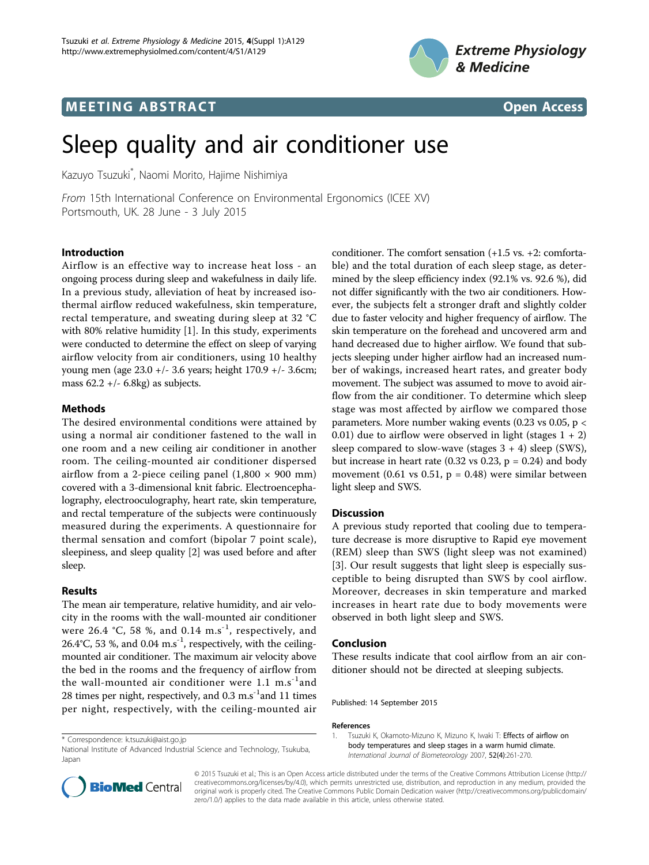

## **MEETING ABSTRACT CONSUMING ABSTRACT**



# Sleep quality and air conditioner use

Kazuyo Tsuzuki\* , Naomi Morito, Hajime Nishimiya

From 15th International Conference on Environmental Ergonomics (ICEE XV) Portsmouth, UK. 28 June - 3 July 2015

### Introduction

Airflow is an effective way to increase heat loss - an ongoing process during sleep and wakefulness in daily life. In a previous study, alleviation of heat by increased isothermal airflow reduced wakefulness, skin temperature, rectal temperature, and sweating during sleep at 32 °C with 80% relative humidity [1]. In this study, experiments were conducted to determine the effect on sleep of varying airflow velocity from air conditioners, using 10 healthy young men (age 23.0 +/- 3.6 years; height 170.9 +/- 3.6cm; mass  $62.2 + (-6.8 \text{kg})$  as subjects.

#### Methods

The desired environmental conditions were attained by using a normal air conditioner fastened to the wall in one room and a new ceiling air conditioner in another room. The ceiling-mounted air conditioner dispersed airflow from a 2-piece ceiling panel  $(1,800 \times 900 \text{ mm})$ covered with a 3-dimensional knit fabric. Electroencephalography, electrooculography, heart rate, skin temperature, and rectal temperature of the subjects were continuously measured during the experiments. A questionnaire for thermal sensation and comfort (bipolar 7 point scale), sleepiness, and sleep quality [[2\]](#page-1-0) was used before and after sleep.

#### Results

The mean air temperature, relative humidity, and air velocity in the rooms with the wall-mounted air conditioner were 26.4 °C, 58 %, and 0.14  $\text{m.s}^{-1}$ , respectively, and 26.4°C, 53 %, and 0.04  $\text{m.s}^{-1}$ , respectively, with the ceilingmounted air conditioner. The maximum air velocity above the bed in the rooms and the frequency of airflow from the wall-mounted air conditioner were  $1.1 \text{ m.s}^{-1}$  and 28 times per night, respectively, and  $0.3 \text{ m.s}^{-1}$  and 11 times per night, respectively, with the ceiling-mounted air

\* Correspondence: [k.tsuzuki@aist.go.jp](mailto:k.tsuzuki@aist.go.jp)

National Institute of Advanced Industrial Science and Technology, Tsukuba, Japan

conditioner. The comfort sensation (+1.5 vs. +2: comfortable) and the total duration of each sleep stage, as determined by the sleep efficiency index (92.1% vs. 92.6 %), did not differ significantly with the two air conditioners. However, the subjects felt a stronger draft and slightly colder due to faster velocity and higher frequency of airflow. The skin temperature on the forehead and uncovered arm and hand decreased due to higher airflow. We found that subjects sleeping under higher airflow had an increased number of wakings, increased heart rates, and greater body movement. The subject was assumed to move to avoid airflow from the air conditioner. To determine which sleep stage was most affected by airflow we compared those parameters. More number waking events (0.23 vs 0.05, p < 0.01) due to airflow were observed in light (stages  $1 + 2$ ) sleep compared to slow-wave (stages  $3 + 4$ ) sleep (SWS), but increase in heart rate (0.32 vs 0.23,  $p = 0.24$ ) and body movement (0.61 vs 0.51,  $p = 0.48$ ) were similar between light sleep and SWS.

#### **Discussion**

A previous study reported that cooling due to temperature decrease is more disruptive to Rapid eye movement (REM) sleep than SWS (light sleep was not examined) [[3\]](#page-1-0). Our result suggests that light sleep is especially susceptible to being disrupted than SWS by cool airflow. Moreover, decreases in skin temperature and marked increases in heart rate due to body movements were observed in both light sleep and SWS.

#### Conclusion

These results indicate that cool airflow from an air conditioner should not be directed at sleeping subjects.

Published: 14 September 2015

#### References



© 2015 Tsuzuki et al.; This is an Open Access article distributed under the terms of the Creative Commons Attribution License [\(http://](http://creativecommons.org/licenses/by/4.0) [creativecommons.org/licenses/by/4.0](http://creativecommons.org/licenses/by/4.0)), which permits unrestricted use, distribution, and reproduction in any medium, provided the original work is properly cited. The Creative Commons Public Domain Dedication waiver ([http://creativecommons.org/publicdomain/](http://creativecommons.org/publicdomain/zero/1.0/) [zero/1.0/](http://creativecommons.org/publicdomain/zero/1.0/)) applies to the data made available in this article, unless otherwise stated.

<sup>1.</sup> Tsuzuki K, Okamoto-Mizuno K, Mizuno K, Iwaki T: **[Effects of airflow on](http://www.ncbi.nlm.nih.gov/pubmed/17899214?dopt=Abstract)** [body temperatures and sleep stages in a warm humid climate.](http://www.ncbi.nlm.nih.gov/pubmed/17899214?dopt=Abstract) International Journal of Biometeorology 2007, 52(4):261-270.